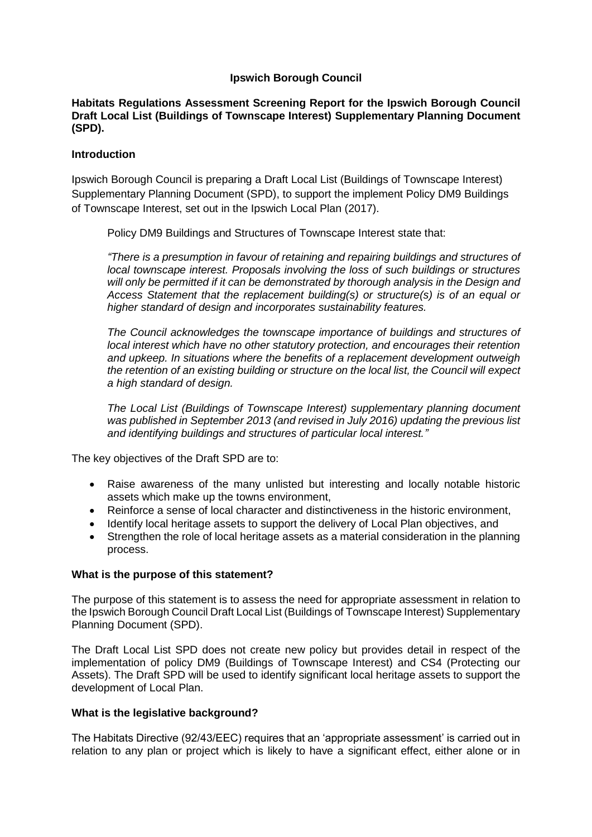# **Ipswich Borough Council**

### **Habitats Regulations Assessment Screening Report for the Ipswich Borough Council Draft Local List (Buildings of Townscape Interest) Supplementary Planning Document (SPD).**

### **Introduction**

Ipswich Borough Council is preparing a Draft Local List (Buildings of Townscape Interest) Supplementary Planning Document (SPD), to support the implement Policy DM9 Buildings of Townscape Interest, set out in the Ipswich Local Plan (2017).

Policy DM9 Buildings and Structures of Townscape Interest state that:

*"There is a presumption in favour of retaining and repairing buildings and structures of local townscape interest. Proposals involving the loss of such buildings or structures will only be permitted if it can be demonstrated by thorough analysis in the Design and Access Statement that the replacement building(s) or structure(s) is of an equal or higher standard of design and incorporates sustainability features.*

*The Council acknowledges the townscape importance of buildings and structures of local interest which have no other statutory protection, and encourages their retention and upkeep. In situations where the benefits of a replacement development outweigh the retention of an existing building or structure on the local list, the Council will expect a high standard of design.*

*The Local List (Buildings of Townscape Interest) supplementary planning document was published in September 2013 (and revised in July 2016) updating the previous list and identifying buildings and structures of particular local interest."*

The key objectives of the Draft SPD are to:

- Raise awareness of the many unlisted but interesting and locally notable historic assets which make up the towns environment,
- Reinforce a sense of local character and distinctiveness in the historic environment,
- Identify local heritage assets to support the delivery of Local Plan objectives, and
- Strengthen the role of local heritage assets as a material consideration in the planning process.

#### **What is the purpose of this statement?**

The purpose of this statement is to assess the need for appropriate assessment in relation to the Ipswich Borough Council Draft Local List (Buildings of Townscape Interest) Supplementary Planning Document (SPD).

The Draft Local List SPD does not create new policy but provides detail in respect of the implementation of policy DM9 (Buildings of Townscape Interest) and CS4 (Protecting our Assets). The Draft SPD will be used to identify significant local heritage assets to support the development of Local Plan.

#### **What is the legislative background?**

The Habitats Directive (92/43/EEC) requires that an 'appropriate assessment' is carried out in relation to any plan or project which is likely to have a significant effect, either alone or in